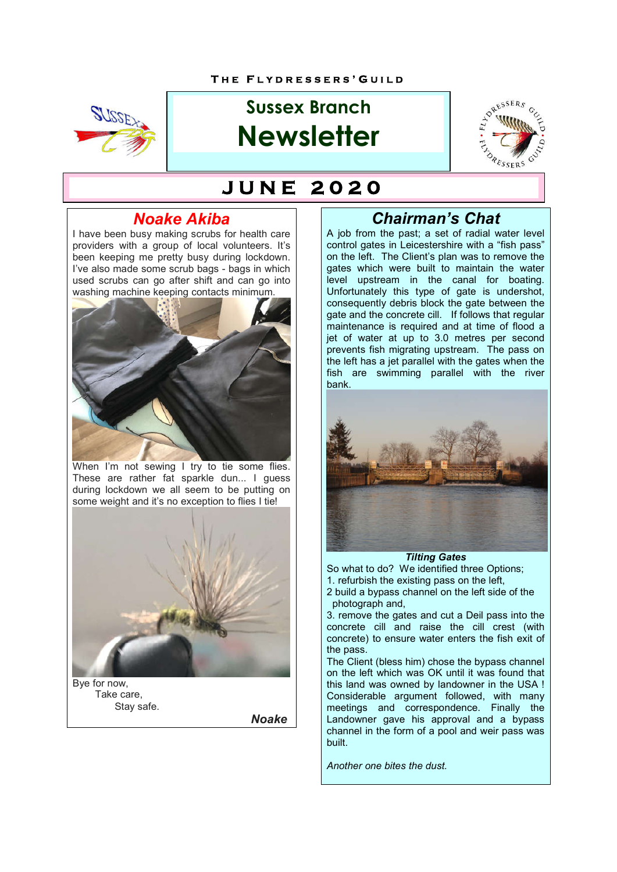

# **Sussex Branch Newsletter**



# **J U N E 2 0 2 0**

## *Noake Akiba*

I have been busy making scrubs for health care providers with a group of local volunteers. It's been keeping me pretty busy during lockdown. I've also made some scrub bags - bags in which used scrubs can go after shift and can go into washing machine keeping contacts minimum.



When I'm not sewing I try to tie some flies. These are rather fat sparkle dun... I guess during lockdown we all seem to be putting on some weight and it's no exception to flies I tie!



Bye for now, Take care, Stay safe.

*Noake*

## *Chairman's Chat*

A job from the past; a set of radial water level control gates in Leicestershire with a "fish pass" on the left. The Client's plan was to remove the gates which were built to maintain the water level upstream in the canal for boating. Unfortunately this type of gate is undershot, consequently debris block the gate between the gate and the concrete cill. If follows that regular maintenance is required and at time of flood a jet of water at up to 3.0 metres per second prevents fish migrating upstream. The pass on the left has a jet parallel with the gates when the fish are swimming parallel with the river bank.



*Tilting Gates* So what to do?We identified three Options; 1. refurbish the existing pass on the left, 2 build a bypass channel on the left side of the photograph and,

3. remove the gates and cut a Deil pass into the concrete cill and raise the cill crest (with concrete) to ensure water enters the fish exit of the pass.

The Client (bless him) chose the bypass channel on the left which was OK until it was found that this land was owned by landowner in the USA ! Considerable argument followed, with many meetings and correspondence. Finally the Landowner gave his approval and a bypass channel in the form of a pool and weir pass was built.

*Another one bites the dust.*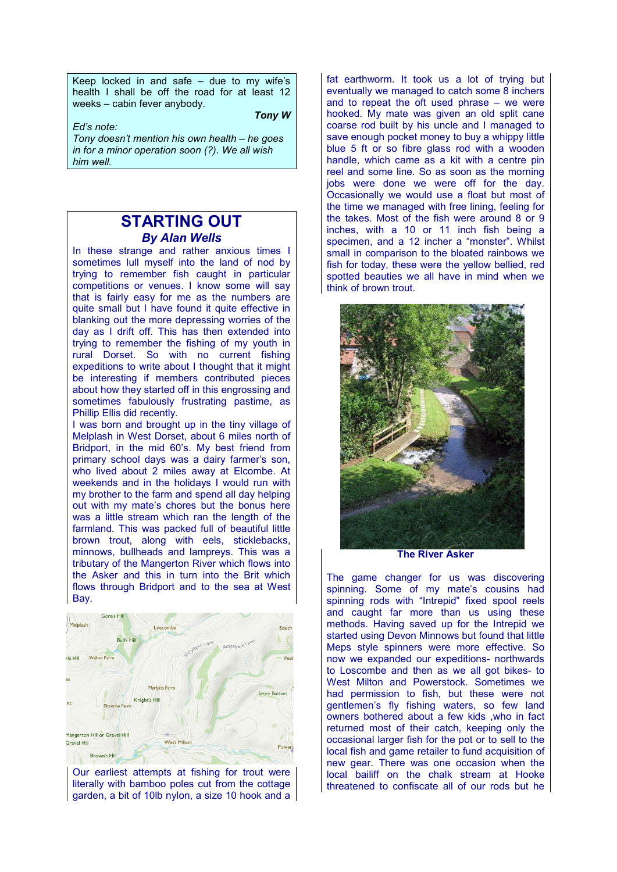Keep locked in and safe  $-$  due to my wife's health I shall be off the road for at least 12 weeks – cabin fever anybody.

*Tony W*

*Ed's note: Tony doesn't mention his own health – he goes in for a minor operation soon (?). We all wish him well.*

#### **STARTING OUT** *By Alan Wells*

In these strange and rather anxious times I sometimes lull myself into the land of nod by trying to remember fish caught in particular competitions or venues. I know some will say that is fairly easy for me as the numbers are quite small but I have found it quite effective in blanking out the more depressing worries of the day as I drift off. This has then extended into trying to remember the fishing of my youth in rural Dorset. So with no current fishing expeditions to write about I thought that it might be interesting if members contributed pieces about how they started off in this engrossing and sometimes fabulously frustrating pastime, as Phillip Ellis did recently.

I was born and brought up in the tiny village of Melplash in West Dorset, about 6 miles north of Bridport, in the mid 60's. My best friend from primary school days was a dairy farmer's son, who lived about 2 miles away at Elcombe. At weekends and in the holidays I would run with my brother to the farm and spend all day helping out with my mate's chores but the bonus here was a little stream which ran the length of the farmland. This was packed full of beautiful little brown trout, along with eels, sticklebacks, minnows, bullheads and lampreys. This was a tributary of the Mangerton River which flows into the Asker and this in turn into the Brit which flows through Bridport and to the sea at West Bay.



Our earliest attempts at fishing for trout were literally with bamboo poles cut from the cottage garden, a bit of 10lb nylon, a size 10 hook and a

fat earthworm. It took us a lot of trying but eventually we managed to catch some 8 inchers and to repeat the oft used phrase – we were hooked. My mate was given an old split cane coarse rod built by his uncle and I managed to save enough pocket money to buy a whippy little blue 5 ft or so fibre glass rod with a wooden handle, which came as a kit with a centre pin reel and some line. So as soon as the morning jobs were done we were off for the day. Occasionally we would use a float but most of the time we managed with free lining, feeling for the takes. Most of the fish were around 8 or 9 inches, with a 10 or 11 inch fish being a specimen, and a 12 incher a "monster". Whilst small in comparison to the bloated rainbows we fish for today, these were the yellow bellied, red spotted beauties we all have in mind when we think of brown trout.



**The River Asker**

The game changer for us was discovering spinning. Some of my mate's cousins had spinning rods with "Intrepid" fixed spool reels and caught far more than us using these methods. Having saved up for the Intrepid we started using Devon Minnows but found that little Meps style spinners were more effective. So now we expanded our expeditions- northwards to Loscombe and then as we all got bikes- to West Milton and Powerstock. Sometimes we had permission to fish, but these were not gentlemen's fly fishing waters, so few land owners bothered about a few kids ,who in fact returned most of their catch, keeping only the occasional larger fish for the pot or to sell to the local fish and game retailer to fund acquisition of new gear. There was one occasion when the local bailiff on the chalk stream at Hooke threatened to confiscate all of our rods but he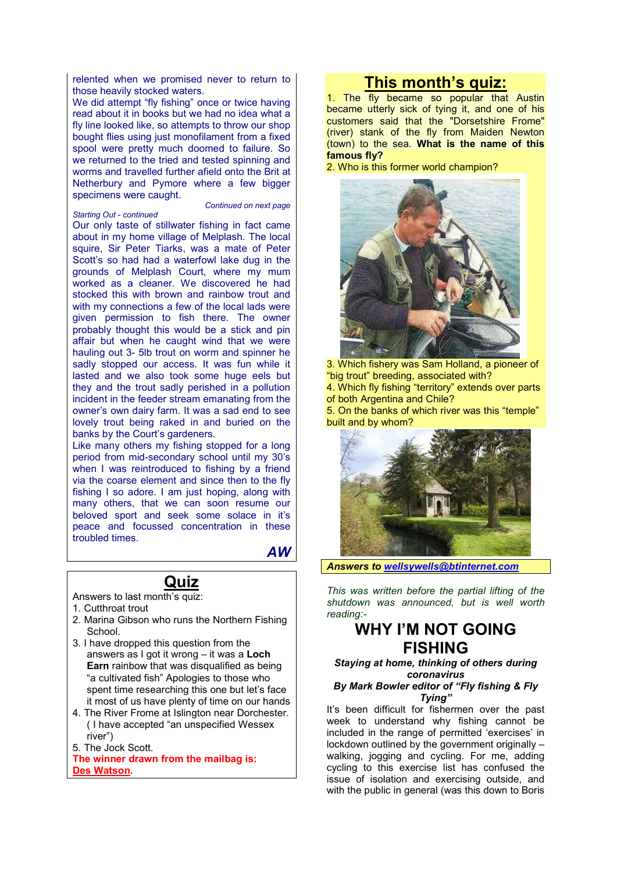relented when we promised never to return to those heavily stocked waters.

We did attempt "fly fishing" once or twice having read about it in books but we had no idea what a fly line looked like, so attempts to throw our shop bought flies using just monofilament from a fixed spool were pretty much doomed to failure. So we returned to the tried and tested spinning and worms and travelled further afield onto the Brit at Netherbury and Pymore where a few bigger specimens were caught.

#### *Starting Out - continued*

*Continued on next page*

Our only taste of stillwater fishing in fact came about in my home village of Melplash. The local squire, Sir Peter Tiarks, was a mate of Peter Scott's so had had a waterfowl lake dug in the grounds of Melplash Court, where my mum worked as a cleaner. We discovered he had stocked this with brown and rainbow trout and with my connections a few of the local lads were given permission to fish there. The owner probably thought this would be a stick and pin affair but when he caught wind that we were hauling out 3- 5lb trout on worm and spinner he sadly stopped our access. It was fun while it lasted and we also took some huge eels but they and the trout sadly perished in a pollution incident in the feeder stream emanating from the owner's own dairy farm. It was a sad end to see lovely trout being raked in and buried on the banks by the Court's gardeners.

Like many others my fishing stopped for a long period from mid-secondary school until my 30's when I was reintroduced to fishing by a friend via the coarse element and since then to the fly fishing I so adore. I am just hoping, along with many others, that we can soon resume our beloved sport and seek some solace in it's peace and focussed concentration in these troubled times.

*AW* 

#### **Quiz**

- Answers to last month's quiz:
- 1. Cutthroat trout
- 2. Marina Gibson who runs the Northern Fishing **School.**
- 3. I have dropped this question from the answers as I got it wrong – it was a **Loch Earn** rainbow that was disqualified as being "a cultivated fish" Apologies to those who spent time researching this one but let's face it most of us have plenty of time on our hands
- 4. The River Frome at Islington near Dorchester. ( I have accepted "an unspecified Wessex river")
- 5. The Jock Scott.

**The winner drawn from the mailbag is: Des Watson.** 

## **This month's quiz:**

1. The fly became so popular that Austin became utterly sick of tying it, and one of his customers said that the "Dorsetshire Frome" (river) stank of the fly from Maiden Newton (town) to the sea. **What is the name of this famous fly?**

2. Who is this former world champion?



3. Which fishery was Sam Holland, a pioneer of "big trout" breeding, associated with?

4. Which fly fishing "territory" extends over parts of both Argentina and Chile?

5. On the banks of which river was this "temple" built and by whom?



*Answers to wellsywells@btinternet.com*

*This was written before the partial lifting of the shutdown was announced, but is well worth reading:-*

### **WHY I'M NOT GOING FISHING**

*Staying at home, thinking of others during coronavirus*

*By Mark Bowler editor of "Fly fishing & Fly Tying"*

It's been difficult for fishermen over the past week to understand why fishing cannot be included in the range of permitted 'exercises' in lockdown outlined by the government originally – walking, jogging and cycling. For me, adding cycling to this exercise list has confused the issue of isolation and exercising outside, and with the public in general (was this down to Boris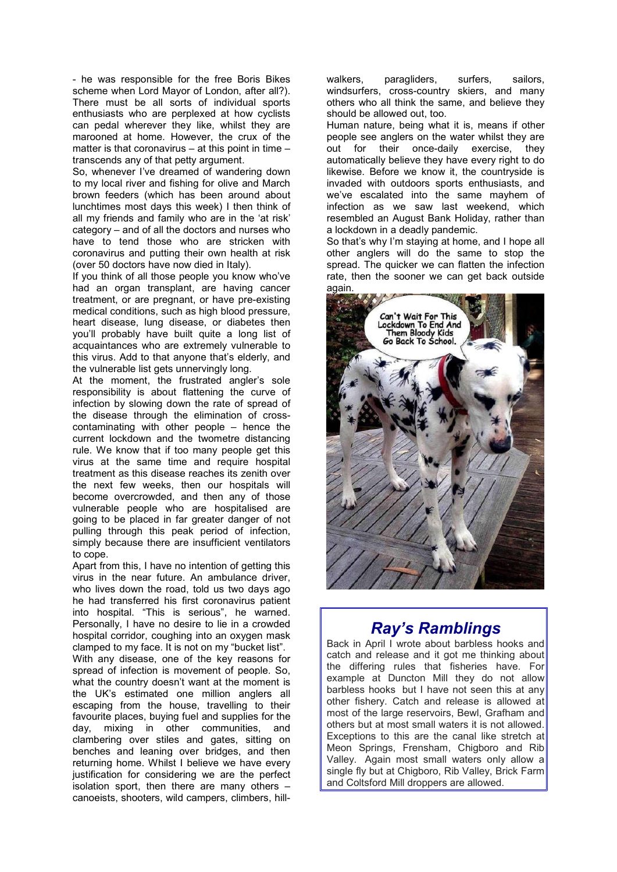- he was responsible for the free Boris Bikes scheme when Lord Mayor of London, after all?). There must be all sorts of individual sports enthusiasts who are perplexed at how cyclists can pedal wherever they like, whilst they are marooned at home. However, the crux of the matter is that coronavirus – at this point in time – transcends any of that petty argument.

So, whenever I've dreamed of wandering down to my local river and fishing for olive and March brown feeders (which has been around about lunchtimes most days this week) I then think of all my friends and family who are in the 'at risk' category – and of all the doctors and nurses who have to tend those who are stricken with coronavirus and putting their own health at risk (over 50 doctors have now died in Italy).

If you think of all those people you know who've had an organ transplant, are having cancer treatment, or are pregnant, or have pre-existing medical conditions, such as high blood pressure, heart disease, lung disease, or diabetes then you'll probably have built quite a long list of acquaintances who are extremely vulnerable to this virus. Add to that anyone that's elderly, and the vulnerable list gets unnervingly long.

At the moment, the frustrated angler's sole responsibility is about flattening the curve of infection by slowing down the rate of spread of the disease through the elimination of crosscontaminating with other people – hence the current lockdown and the twometre distancing rule. We know that if too many people get this virus at the same time and require hospital treatment as this disease reaches its zenith over the next few weeks, then our hospitals will become overcrowded, and then any of those vulnerable people who are hospitalised are going to be placed in far greater danger of not pulling through this peak period of infection, simply because there are insufficient ventilators to cope.

Apart from this, I have no intention of getting this virus in the near future. An ambulance driver, who lives down the road, told us two days ago he had transferred his first coronavirus patient into hospital. "This is serious", he warned. Personally, I have no desire to lie in a crowded hospital corridor, coughing into an oxygen mask clamped to my face. It is not on my "bucket list".

With any disease, one of the key reasons for spread of infection is movement of people. So, what the country doesn't want at the moment is the UK's estimated one million anglers all escaping from the house, travelling to their favourite places, buying fuel and supplies for the day, mixing in other communities, and clambering over stiles and gates, sitting on benches and leaning over bridges, and then returning home. Whilst I believe we have every justification for considering we are the perfect isolation sport, then there are many others – canoeists, shooters, wild campers, climbers, hillwalkers, paragliders, surfers, sailors, windsurfers, cross-country skiers, and many others who all think the same, and believe they should be allowed out, too.

Human nature, being what it is, means if other people see anglers on the water whilst they are out for their once-daily exercise, they automatically believe they have every right to do likewise. Before we know it, the countryside is invaded with outdoors sports enthusiasts, and we've escalated into the same mayhem of infection as we saw last weekend, which resembled an August Bank Holiday, rather than a lockdown in a deadly pandemic.

So that's why I'm staying at home, and I hope all other anglers will do the same to stop the spread. The quicker we can flatten the infection rate, then the sooner we can get back outside again.



## *Ray's Ramblings*

Back in April I wrote about barbless hooks and catch and release and it got me thinking about the differing rules that fisheries have. For example at Duncton Mill they do not allow barbless hooks but I have not seen this at any other fishery. Catch and release is allowed at most of the large reservoirs, Bewl, Grafham and others but at most small waters it is not allowed. Exceptions to this are the canal like stretch at Meon Springs, Frensham, Chigboro and Rib Valley. Again most small waters only allow a single fly but at Chigboro, Rib Valley, Brick Farm and Coltsford Mill droppers are allowed.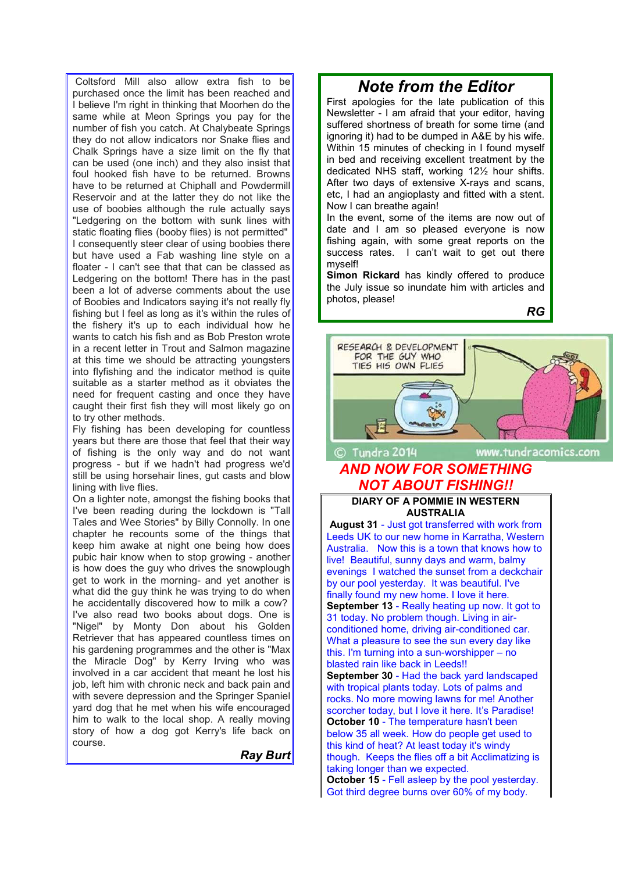Coltsford Mill also allow extra fish to be purchased once the limit has been reached and I believe I'm right in thinking that Moorhen do the same while at Meon Springs you pay for the number of fish you catch. At Chalybeate Springs they do not allow indicators nor Snake flies and Chalk Springs have a size limit on the fly that can be used (one inch) and they also insist that foul hooked fish have to be returned. Browns have to be returned at Chiphall and Powdermill Reservoir and at the latter they do not like the use of boobies although the rule actually says "Ledgering on the bottom with sunk lines with static floating flies (booby flies) is not permitted" I consequently steer clear of using boobies there but have used a Fab washing line style on a floater - I can't see that that can be classed as Ledgering on the bottom! There has in the past been a lot of adverse comments about the use of Boobies and Indicators saying it's not really fly fishing but I feel as long as it's within the rules of the fishery it's up to each individual how he wants to catch his fish and as Bob Preston wrote in a recent letter in Trout and Salmon magazine at this time we should be attracting youngsters into flyfishing and the indicator method is quite suitable as a starter method as it obviates the need for frequent casting and once they have caught their first fish they will most likely go on to try other methods.

Fly fishing has been developing for countless years but there are those that feel that their way of fishing is the only way and do not want progress - but if we hadn't had progress we'd still be using horsehair lines, gut casts and blow lining with live flies.

On a lighter note, amongst the fishing books that I've been reading during the lockdown is "Tall Tales and Wee Stories" by Billy Connolly. In one chapter he recounts some of the things that keep him awake at night one being how does pubic hair know when to stop growing - another is how does the guy who drives the snowplough get to work in the morning- and yet another is what did the guy think he was trying to do when he accidentally discovered how to milk a cow? I've also read two books about dogs. One is "Nigel" by Monty Don about his Golden Retriever that has appeared countless times on his gardening programmes and the other is "Max the Miracle Dog" by Kerry Irving who was involved in a car accident that meant he lost his job, left him with chronic neck and back pain and with severe depression and the Springer Spaniel yard dog that he met when his wife encouraged him to walk to the local shop. A really moving story of how a dog got Kerry's life back on course.

*Ray Burt*

## *Note from the Editor*

First apologies for the late publication of this Newsletter - I am afraid that your editor, having suffered shortness of breath for some time (and ignoring it) had to be dumped in A&E by his wife. Within 15 minutes of checking in I found myself in bed and receiving excellent treatment by the dedicated NHS staff, working 12½ hour shifts. After two days of extensive X-rays and scans, etc, I had an angioplasty and fitted with a stent. Now I can breathe again!

In the event, some of the items are now out of date and I am so pleased everyone is now fishing again, with some great reports on the success rates. I can't wait to get out there myself!

**Simon Rickard** has kindly offered to produce the July issue so inundate him with articles and photos, please!

*RG*



#### **DIARY OF A POMMIE IN WESTERN AUSTRALIA**

**August 31** - Just got transferred with work from Leeds UK to our new home in Karratha, Western Australia. Now this is a town that knows how to live! Beautiful, sunny days and warm, balmy evenings I watched the sunset from a deckchair by our pool yesterday. It was beautiful. I've finally found my new home. I love it here. **September 13** - Really heating up now. It got to 31 today. No problem though. Living in airconditioned home, driving air-conditioned car. What a pleasure to see the sun every day like this. I'm turning into a sun-worshipper – no blasted rain like back in Leeds!! **September 30** - Had the back yard landscaped with tropical plants today. Lots of palms and rocks. No more mowing lawns for me! Another scorcher today, but I love it here. It's Paradise! **October 10** - The temperature hasn't been below 35 all week. How do people get used to this kind of heat? At least today it's windy though. Keeps the flies off a bit Acclimatizing is taking longer than we expected. **October 15** - Fell asleep by the pool yesterday. Got third degree burns over 60% of my body.